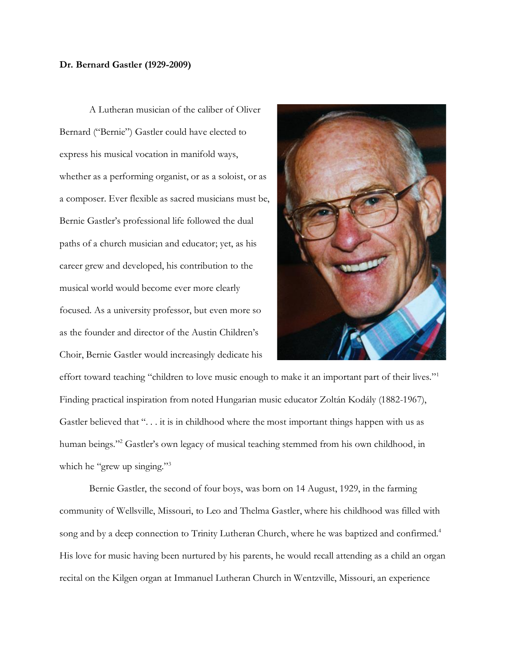## **Dr. Bernard Gastler (1929-2009)**

A Lutheran musician of the caliber of Oliver Bernard ("Bernie") Gastler could have elected to express his musical vocation in manifold ways, whether as a performing organist, or as a soloist, or as a composer. Ever flexible as sacred musicians must be, Bernie Gastler's professional life followed the dual paths of a church musician and educator; yet, as his career grew and developed, his contribution to the musical world would become ever more clearly focused. As a university professor, but even more so as the founder and director of the Austin Children's Choir, Bernie Gastler would increasingly dedicate his



effort toward teaching "children to love music enough to make it an important part of their lives."<sup>1</sup> Finding practical inspiration from noted Hungarian music educator Zoltán Kodály (1882-1967), Gastler believed that "... it is in childhood where the most important things happen with us as human beings."<sup>2</sup> Gastler's own legacy of musical teaching stemmed from his own childhood, in which he "grew up singing."<sup>3</sup>

Bernie Gastler, the second of four boys, was born on 14 August, 1929, in the farming community of Wellsville, Missouri, to Leo and Thelma Gastler, where his childhood was filled with song and by a deep connection to Trinity Lutheran Church, where he was baptized and confirmed.<sup>4</sup> His love for music having been nurtured by his parents, he would recall attending as a child an organ recital on the Kilgen organ at Immanuel Lutheran Church in Wentzville, Missouri, an experience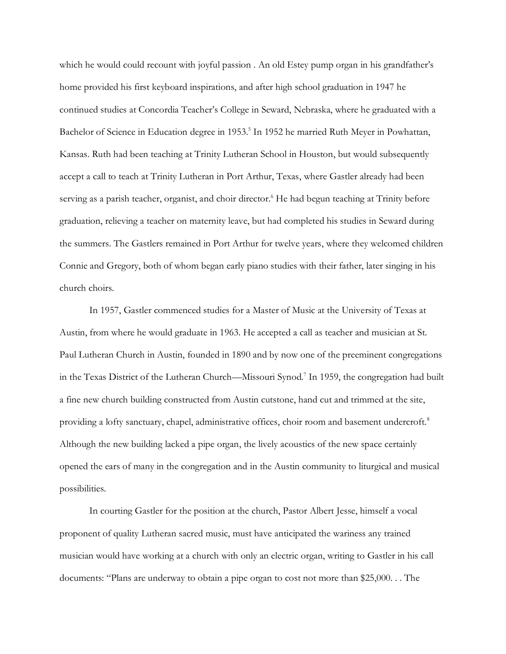which he would could recount with joyful passion. An old Estey pump organ in his grandfather's home provided his first keyboard inspirations, and after high school graduation in 1947 he continued studies at Concordia Teacher's College in Seward, Nebraska, where he graduated with a Bachelor of Science in Education degree in 1953.<sup>5</sup> In 1952 he married Ruth Meyer in Powhattan, Kansas. Ruth had been teaching at Trinity Lutheran School in Houston, but would subsequently accept a call to teach at Trinity Lutheran in Port Arthur, Texas, where Gastler already had been serving as a parish teacher, organist, and choir director. <sup>6</sup> He had begun teaching at Trinity before graduation, relieving a teacher on maternity leave, but had completed his studies in Seward during the summers. The Gastlers remained in Port Arthur for twelve years, where they welcomed children Connie and Gregory, both of whom began early piano studies with their father, later singing in his church choirs.

In 1957, Gastler commenced studies for a Master of Music at the University of Texas at Austin, from where he would graduate in 1963. He accepted a call as teacher and musician at St. Paul Lutheran Church in Austin, founded in 1890 and by now one of the preeminent congregations in the Texas District of the Lutheran Church—Missouri Synod.<sup>7</sup> In 1959, the congregation had built a fine new church building constructed from Austin cutstone, hand cut and trimmed at the site, providing a lofty sanctuary, chapel, administrative offices, choir room and basement undercroft.<sup>8</sup> Although the new building lacked a pipe organ, the lively acoustics of the new space certainly opened the ears of many in the congregation and in the Austin community to liturgical and musical possibilities.

In courting Gastler for the position at the church, Pastor Albert Jesse, himself a vocal proponent of quality Lutheran sacred music, must have anticipated the wariness any trained musician would have working at a church with only an electric organ, writing to Gastler in his call documents: "Plans are underway to obtain a pipe organ to cost not more than \$25,000. . . The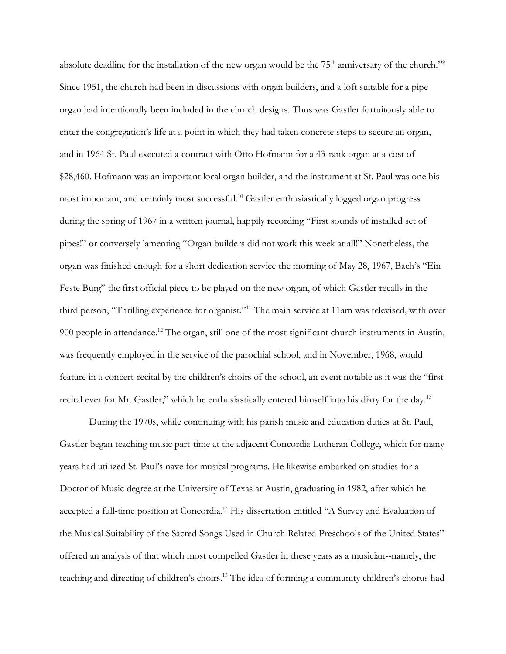absolute deadline for the installation of the new organ would be the 75<sup>th</sup> anniversary of the church."<sup>9</sup> Since 1951, the church had been in discussions with organ builders, and a loft suitable for a pipe organ had intentionally been included in the church designs. Thus was Gastler fortuitously able to enter the congregation's life at a point in which they had taken concrete steps to secure an organ, and in 1964 St. Paul executed a contract with Otto Hofmann for a 43-rank organ at a cost of \$28,460. Hofmann was an important local organ builder, and the instrument at St. Paul was one his most important, and certainly most successful.<sup>10</sup> Gastler enthusiastically logged organ progress during the spring of 1967 in a written journal, happily recording "First sounds of installed set of pipes!" or conversely lamenting "Organ builders did not work this week at all!" Nonetheless, the organ was finished enough for a short dedication service the morning of May 28, 1967, Bach's "Ein Feste Burg" the first official piece to be played on the new organ, of which Gastler recalls in the third person, "Thrilling experience for organist."<sup>11</sup> The main service at 11am was televised, with over 900 people in attendance.<sup>12</sup> The organ, still one of the most significant church instruments in Austin, was frequently employed in the service of the parochial school, and in November, 1968, would feature in a concert-recital by the children's choirs of the school, an event notable as it was the "first recital ever for Mr. Gastler," which he enthusiastically entered himself into his diary for the day.<sup>13</sup>

During the 1970s, while continuing with his parish music and education duties at St. Paul, Gastler began teaching music part-time at the adjacent Concordia Lutheran College, which for many years had utilized St. Paul's nave for musical programs. He likewise embarked on studies for a Doctor of Music degree at the University of Texas at Austin, graduating in 1982, after which he accepted a full-time position at Concordia.<sup>14</sup> His dissertation entitled "A Survey and Evaluation of the Musical Suitability of the Sacred Songs Used in Church Related Preschools of the United States" offered an analysis of that which most compelled Gastler in these years as a musician--namely, the teaching and directing of children's choirs.<sup>15</sup> The idea of forming a community children's chorus had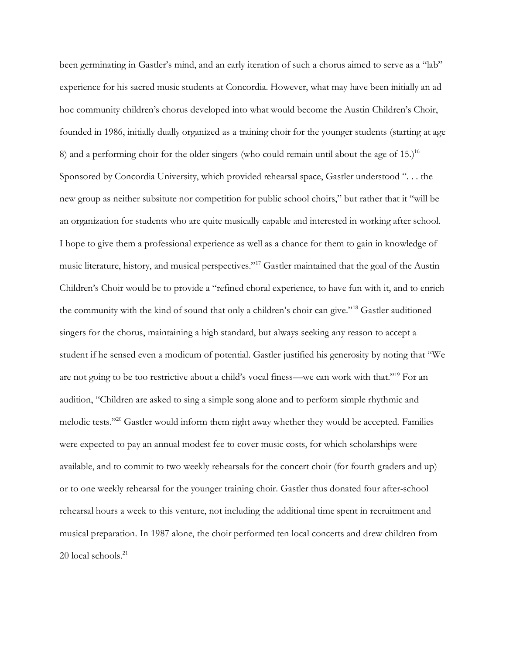been germinating in Gastler's mind, and an early iteration of such a chorus aimed to serve as a "lab" experience for his sacred music students at Concordia. However, what may have been initially an ad hoc community children's chorus developed into what would become the Austin Children's Choir, founded in 1986, initially dually organized as a training choir for the younger students (starting at age 8) and a performing choir for the older singers (who could remain until about the age of  $15$ .)<sup>16</sup> Sponsored by Concordia University, which provided rehearsal space, Gastler understood ". . . the new group as neither subsitute nor competition for public school choirs," but rather that it "will be an organization for students who are quite musically capable and interested in working after school. I hope to give them a professional experience as well as a chance for them to gain in knowledge of music literature, history, and musical perspectives."<sup>17</sup> Gastler maintained that the goal of the Austin Children's Choir would be to provide a "refined choral experience, to have fun with it, and to enrich the community with the kind of sound that only a children's choir can give."<sup>18</sup> Gastler auditioned singers for the chorus, maintaining a high standard, but always seeking any reason to accept a student if he sensed even a modicum of potential. Gastler justified his generosity by noting that "We are not going to be too restrictive about a child's vocal finess—we can work with that."<sup>19</sup> For an audition, "Children are asked to sing a simple song alone and to perform simple rhythmic and melodic tests."<sup>20</sup> Gastler would inform them right away whether they would be accepted. Families were expected to pay an annual modest fee to cover music costs, for which scholarships were available, and to commit to two weekly rehearsals for the concert choir (for fourth graders and up) or to one weekly rehearsal for the younger training choir. Gastler thus donated four after-school rehearsal hours a week to this venture, not including the additional time spent in recruitment and musical preparation. In 1987 alone, the choir performed ten local concerts and drew children from  $20$  local schools. $^{21}$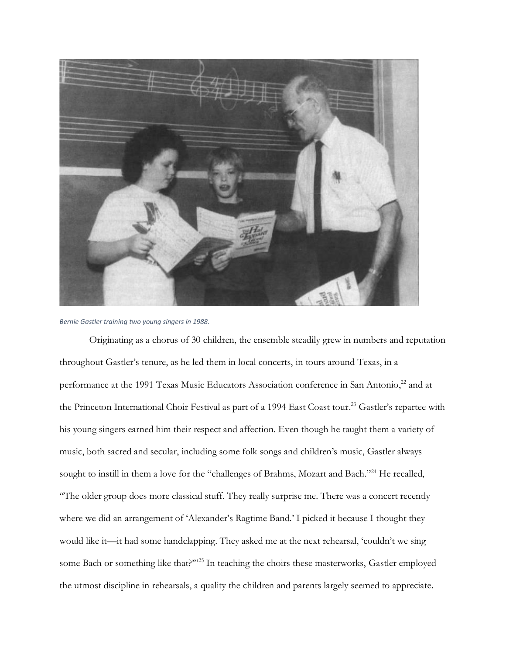

*Bernie Gastler training two young singers in 1988.*

Originating as a chorus of 30 children, the ensemble steadily grew in numbers and reputation throughout Gastler's tenure, as he led them in local concerts, in tours around Texas, in a performance at the 1991 Texas Music Educators Association conference in San Antonio,<sup>22</sup> and at the Princeton International Choir Festival as part of a 1994 East Coast tour.<sup>23</sup> Gastler's repartee with his young singers earned him their respect and affection. Even though he taught them a variety of music, both sacred and secular, including some folk songs and children's music, Gastler always sought to instill in them a love for the "challenges of Brahms, Mozart and Bach."<sup>24</sup> He recalled, "The older group does more classical stuff. They really surprise me. There was a concert recently where we did an arrangement of 'Alexander's Ragtime Band.' I picked it because I thought they would like it—it had some handclapping. They asked me at the next rehearsal, 'couldn't we sing some Bach or something like that?"<sup>25</sup> In teaching the choirs these masterworks, Gastler employed the utmost discipline in rehearsals, a quality the children and parents largely seemed to appreciate.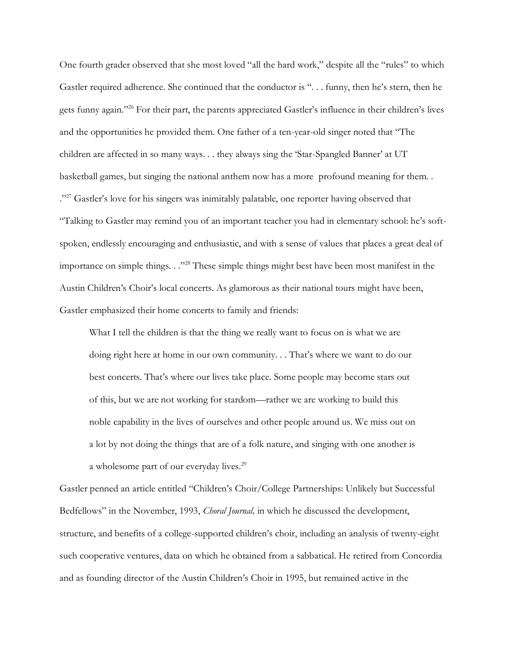One fourth grader observed that she most loved "all the hard work," despite all the "rules" to which Gastler required adherence. She continued that the conductor is ". . . funny, then he's stern, then he gets funny again."<sup>26</sup> For their part, the parents appreciated Gastler's influence in their children's lives and the opportunities he provided them. One father of a ten-year-old singer noted that "The children are affected in so many ways. . . they always sing the 'Star-Spangled Banner' at UT basketball games, but singing the national anthem now has a more profound meaning for them. . ."<sup>27</sup> Gastler's love for his singers was inimitably palatable, one reporter having observed that "Talking to Gastler may remind you of an important teacher you had in elementary school: he's softspoken, endlessly encouraging and enthusiastic, and with a sense of values that places a great deal of importance on simple things. . ."<sup>28</sup> These simple things might best have been most manifest in the Austin Children's Choir's local concerts. As glamorous as their national tours might have been, Gastler emphasized their home concerts to family and friends:

What I tell the children is that the thing we really want to focus on is what we are doing right here at home in our own community. . . That's where we want to do our best concerts. That's where our lives take place. Some people may become stars out of this, but we are not working for stardom—rather we are working to build this noble capability in the lives of ourselves and other people around us. We miss out on a lot by not doing the things that are of a folk nature, and singing with one another is a wholesome part of our everyday lives.<sup>29</sup>

Gastler penned an article entitled "Children's Choir/College Partnerships: Unlikely but Successful Bedfellows" in the November, 1993, *Choral Journal,* in which he discussed the development, structure, and benefits of a college-supported children's choir, including an analysis of twenty-eight such cooperative ventures, data on which he obtained from a sabbatical. He retired from Concordia and as founding director of the Austin Children's Choir in 1995, but remained active in the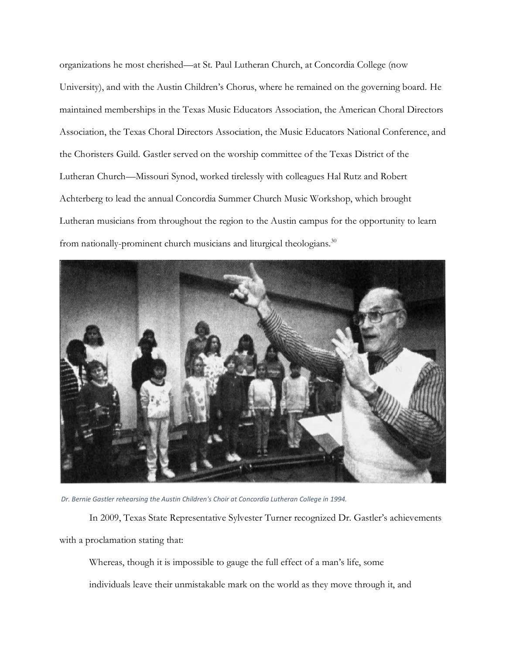organizations he most cherished—at St. Paul Lutheran Church, at Concordia College (now University), and with the Austin Children's Chorus, where he remained on the governing board. He maintained memberships in the Texas Music Educators Association, the American Choral Directors Association, the Texas Choral Directors Association, the Music Educators National Conference, and the Choristers Guild. Gastler served on the worship committee of the Texas District of the Lutheran Church—Missouri Synod, worked tirelessly with colleagues Hal Rutz and Robert Achterberg to lead the annual Concordia Summer Church Music Workshop, which brought Lutheran musicians from throughout the region to the Austin campus for the opportunity to learn from nationally-prominent church musicians and liturgical theologians.<sup>30</sup>



*Dr. Bernie Gastler rehearsing the Austin Children's Choir at Concordia Lutheran College in 1994.*

In 2009, Texas State Representative Sylvester Turner recognized Dr. Gastler's achievements with a proclamation stating that:

Whereas, though it is impossible to gauge the full effect of a man's life, some individuals leave their unmistakable mark on the world as they move through it, and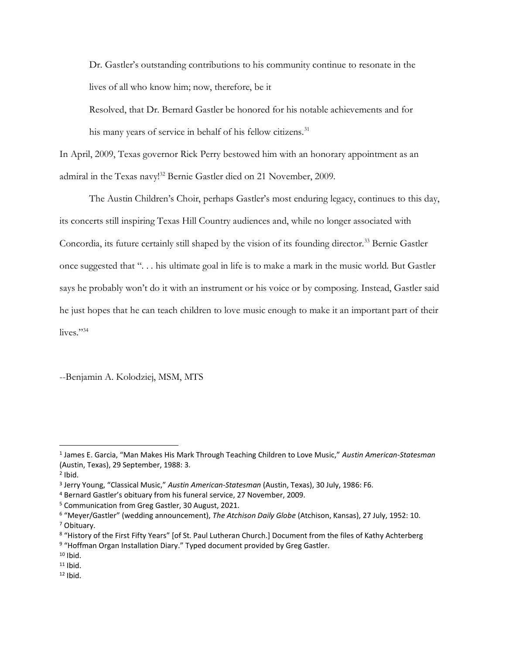Dr. Gastler's outstanding contributions to his community continue to resonate in the lives of all who know him; now, therefore, be it

Resolved, that Dr. Bernard Gastler be honored for his notable achievements and for his many years of service in behalf of his fellow citizens.<sup>31</sup>

In April, 2009, Texas governor Rick Perry bestowed him with an honorary appointment as an admiral in the Texas navy!<sup>32</sup> Bernie Gastler died on 21 November, 2009.

The Austin Children's Choir, perhaps Gastler's most enduring legacy, continues to this day, its concerts still inspiring Texas Hill Country audiences and, while no longer associated with Concordia, its future certainly still shaped by the vision of its founding director.<sup>33</sup> Bernie Gastler once suggested that ". . . his ultimate goal in life is to make a mark in the music world. But Gastler says he probably won't do it with an instrument or his voice or by composing. Instead, Gastler said he just hopes that he can teach children to love music enough to make it an important part of their lives." $34$ 

--Benjamin A. Kolodziej, MSM, MTS

<sup>1</sup> James E. Garcia, "Man Makes His Mark Through Teaching Children to Love Music," *Austin American-Statesman*  (Austin, Texas), 29 September, 1988: 3.

 $2$  Ibid.

<sup>3</sup> Jerry Young, "Classical Music," *Austin American-Statesman* (Austin, Texas), 30 July, 1986: F6.

<sup>4</sup> Bernard Gastler's obituary from his funeral service, 27 November, 2009.

<sup>5</sup> Communication from Greg Gastler, 30 August, 2021.

<sup>6</sup> "Meyer/Gastler" (wedding announcement), *The Atchison Daily Globe* (Atchison, Kansas), 27 July, 1952: 10. <sup>7</sup> Obituary.

<sup>8 &</sup>quot;History of the First Fifty Years" [of St. Paul Lutheran Church.] Document from the files of Kathy Achterberg 9 "Hoffman Organ Installation Diary." Typed document provided by Greg Gastler.

 $10$  Ibid.

 $11$  Ibid.

 $12$  Ibid.